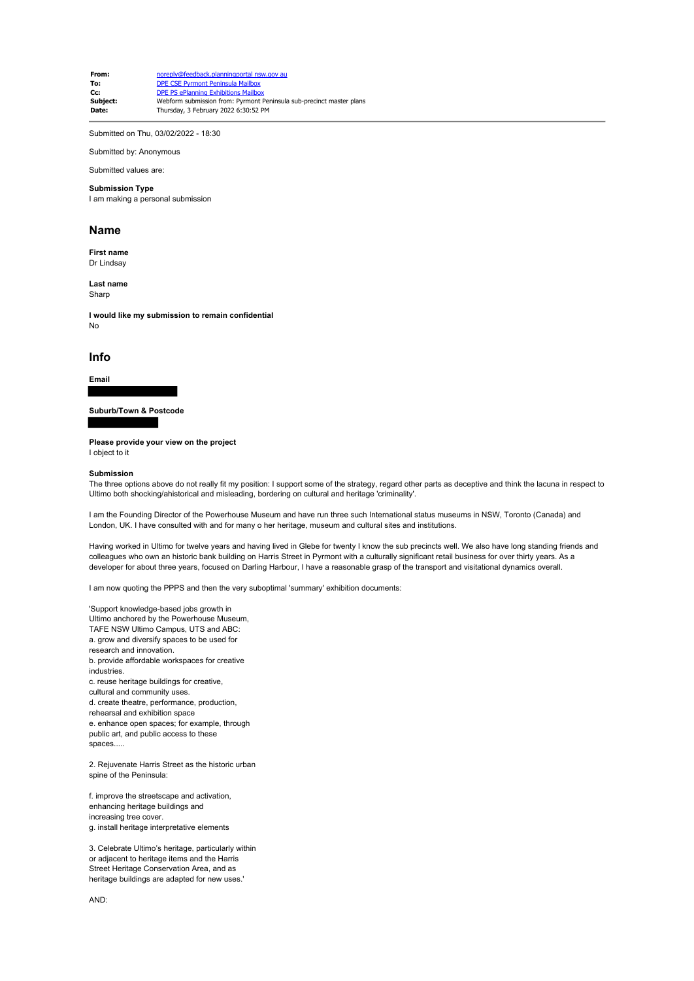**From:** noreply@feedback.planningportal nsw.gov au **To:** DPE CSE Pyrmont Peninsula Mailbox **Cc:** DPE PS ePlanning Exhibitions Mailbox<br> **Subject:** Webform submission from: Pyrmont I **Subject:** Webform submission from: Pyrmont Peninsula sub-precinct master plans<br> **Date:** Thursday 3 February 2022 6:30:52 PM **Date:** Thursday, 3 February 2022 6:30:52 PM

Submitted on Thu, 03/02/2022 - 18:30

Submitted by: Anonymous

Submitted values are:

#### **Submission Type**

I am making a personal submission

## **Name**

**First name** Dr Lindsay

**Last name** Sharp

**I would like my submission to remain confidential** No

# **Info**

**Email**

### **Suburb/Town & Postcode**

**Please provide your view on the project**

I object to it

#### **Submission**

The three options above do not really fit my position: I support some of the strategy, regard other parts as deceptive and think the lacuna in respect to Ultimo both shocking/ahistorical and misleading, bordering on cultural and heritage 'criminality'.

I am the Founding Director of the Powerhouse Museum and have run three such International status museums in NSW, Toronto (Canada) and London, UK. I have consulted with and for many o her heritage, museum and cultural sites and institutions.

Having worked in Ultimo for twelve years and having lived in Glebe for twenty I know the sub precincts well. We also have long standing friends and colleagues who own an historic bank building on Harris Street in Pyrmont with a culturally significant retail business for over thirty years. As a developer for about three years, focused on Darling Harbour, I have a reasonable grasp of the transport and visitational dynamics overall.

I am now quoting the PPPS and then the very suboptimal 'summary' exhibition documents:

'Support knowledge-based jobs growth in Ultimo anchored by the Powerhouse Museum, TAFE NSW Ultimo Campus, UTS and ABC: a. grow and diversify spaces to be used for research and innovation. b. provide affordable workspaces for creative industries. c. reuse heritage buildings for creative, cultural and community uses. d. create theatre, performance, production, rehearsal and exhibition space e. enhance open spaces; for example, through public art, and public access to these spaces

2. Rejuvenate Harris Street as the historic urban spine of the Peninsula:

f. improve the streetscape and activation, enhancing heritage buildings and increasing tree cover. g. install heritage interpretative elements

3. Celebrate Ultimo's heritage, particularly within or adjacent to heritage items and the Harris Street Heritage Conservation Area, and as heritage buildings are adapted for new uses.'